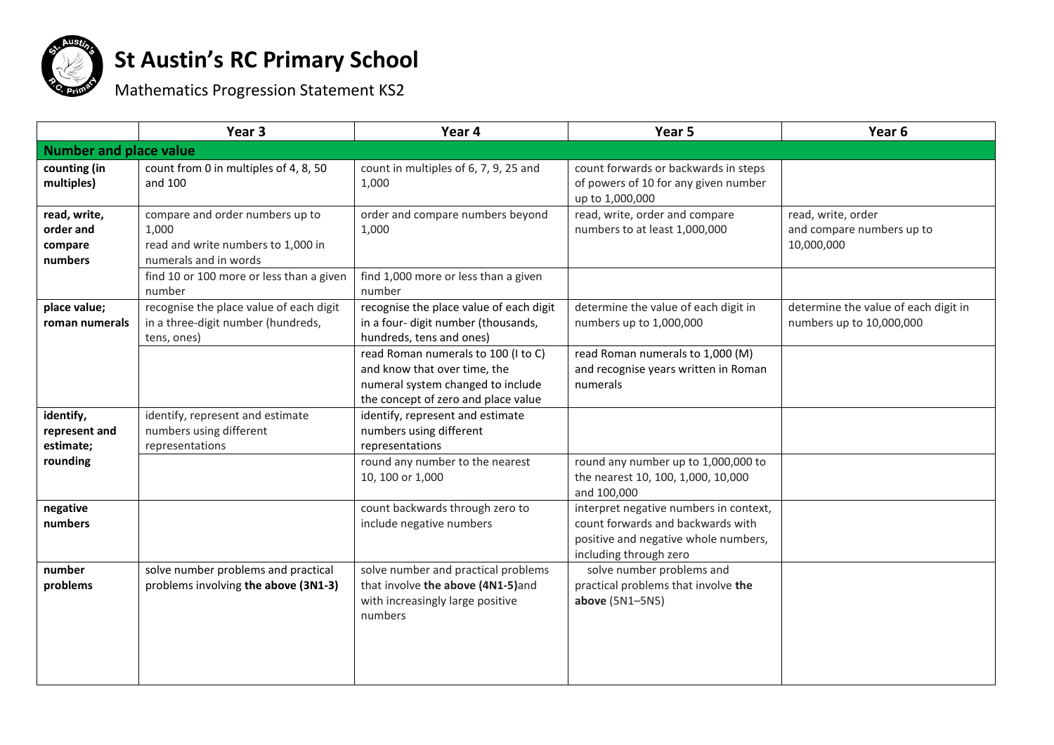

## **St Austin's RC Primary School**

Mathematics Progression Statement KS2

|                                                 | Year <sub>3</sub>                                                                                                                                             | Year 4                                                                                                                                          | Year 5                                                                                                                                        | Year <sub>6</sub>                                                |
|-------------------------------------------------|---------------------------------------------------------------------------------------------------------------------------------------------------------------|-------------------------------------------------------------------------------------------------------------------------------------------------|-----------------------------------------------------------------------------------------------------------------------------------------------|------------------------------------------------------------------|
| <b>Number and place value</b>                   |                                                                                                                                                               |                                                                                                                                                 |                                                                                                                                               |                                                                  |
| counting (in<br>multiples)                      | count from 0 in multiples of 4, 8, 50<br>and 100                                                                                                              | count in multiples of 6, 7, 9, 25 and<br>1,000                                                                                                  | count forwards or backwards in steps<br>of powers of 10 for any given number<br>up to 1,000,000                                               |                                                                  |
| read, write,<br>order and<br>compare<br>numbers | compare and order numbers up to<br>1,000<br>read and write numbers to 1,000 in<br>numerals and in words<br>find 10 or 100 more or less than a given<br>number | order and compare numbers beyond<br>1,000<br>find 1,000 more or less than a given<br>number                                                     | read, write, order and compare<br>numbers to at least 1,000,000                                                                               | read, write, order<br>and compare numbers up to<br>10,000,000    |
| place value;<br>roman numerals                  | recognise the place value of each digit<br>in a three-digit number (hundreds,<br>tens, ones)                                                                  | recognise the place value of each digit<br>in a four- digit number (thousands,<br>hundreds, tens and ones)                                      | determine the value of each digit in<br>numbers up to 1,000,000                                                                               | determine the value of each digit in<br>numbers up to 10,000,000 |
|                                                 |                                                                                                                                                               | read Roman numerals to 100 (I to C)<br>and know that over time, the<br>numeral system changed to include<br>the concept of zero and place value | read Roman numerals to 1,000 (M)<br>and recognise years written in Roman<br>numerals                                                          |                                                                  |
| identify,<br>represent and<br>estimate;         | identify, represent and estimate<br>numbers using different<br>representations                                                                                | identify, represent and estimate<br>numbers using different<br>representations                                                                  |                                                                                                                                               |                                                                  |
| rounding                                        |                                                                                                                                                               | round any number to the nearest<br>10, 100 or 1,000                                                                                             | round any number up to 1,000,000 to<br>the nearest 10, 100, 1,000, 10,000<br>and 100,000                                                      |                                                                  |
| negative<br>numbers                             |                                                                                                                                                               | count backwards through zero to<br>include negative numbers                                                                                     | interpret negative numbers in context,<br>count forwards and backwards with<br>positive and negative whole numbers,<br>including through zero |                                                                  |
| number<br>problems                              | solve number problems and practical<br>problems involving the above (3N1-3)                                                                                   | solve number and practical problems<br>that involve the above (4N1-5)and<br>with increasingly large positive<br>numbers                         | solve number problems and<br>practical problems that involve the<br>above (5N1-5N5)                                                           |                                                                  |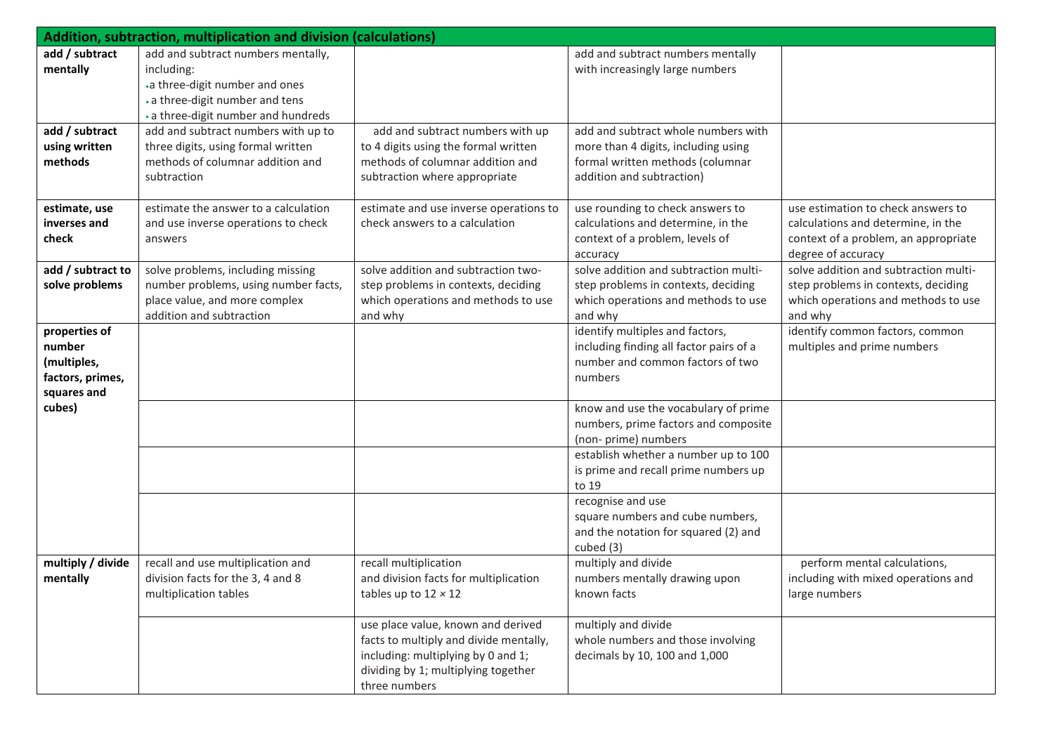| Addition, subtraction, multiplication and division (calculations) |                                      |                                        |                                                              |                                       |
|-------------------------------------------------------------------|--------------------------------------|----------------------------------------|--------------------------------------------------------------|---------------------------------------|
| add / subtract                                                    | add and subtract numbers mentally,   |                                        | add and subtract numbers mentally                            |                                       |
| mentally                                                          | including:                           |                                        | with increasingly large numbers                              |                                       |
|                                                                   | .a three-digit number and ones       |                                        |                                                              |                                       |
|                                                                   | . a three-digit number and tens      |                                        |                                                              |                                       |
|                                                                   | . a three-digit number and hundreds  |                                        |                                                              |                                       |
| add / subtract                                                    | add and subtract numbers with up to  | add and subtract numbers with up       | add and subtract whole numbers with                          |                                       |
| using written                                                     | three digits, using formal written   | to 4 digits using the formal written   | more than 4 digits, including using                          |                                       |
| methods                                                           | methods of columnar addition and     | methods of columnar addition and       | formal written methods (columnar                             |                                       |
|                                                                   | subtraction                          | subtraction where appropriate          | addition and subtraction)                                    |                                       |
| estimate, use                                                     | estimate the answer to a calculation | estimate and use inverse operations to | use rounding to check answers to                             | use estimation to check answers to    |
| inverses and                                                      | and use inverse operations to check  | check answers to a calculation         | calculations and determine, in the                           | calculations and determine, in the    |
| check                                                             | answers                              |                                        | context of a problem, levels of                              | context of a problem, an appropriate  |
|                                                                   |                                      |                                        | accuracy                                                     | degree of accuracy                    |
| add / subtract to                                                 | solve problems, including missing    | solve addition and subtraction two-    | solve addition and subtraction multi-                        | solve addition and subtraction multi- |
| solve problems                                                    | number problems, using number facts, | step problems in contexts, deciding    | step problems in contexts, deciding                          | step problems in contexts, deciding   |
|                                                                   | place value, and more complex        | which operations and methods to use    | which operations and methods to use                          | which operations and methods to use   |
|                                                                   | addition and subtraction             | and why                                | and why                                                      | and why                               |
| properties of                                                     |                                      |                                        | identify multiples and factors,                              | identify common factors, common       |
| number                                                            |                                      |                                        | including finding all factor pairs of a                      | multiples and prime numbers           |
| (multiples,                                                       |                                      |                                        | number and common factors of two                             |                                       |
| factors, primes,                                                  |                                      |                                        | numbers                                                      |                                       |
| squares and                                                       |                                      |                                        |                                                              |                                       |
| cubes)                                                            |                                      |                                        | know and use the vocabulary of prime                         |                                       |
|                                                                   |                                      |                                        | numbers, prime factors and composite                         |                                       |
|                                                                   |                                      |                                        | (non- prime) numbers<br>establish whether a number up to 100 |                                       |
|                                                                   |                                      |                                        | is prime and recall prime numbers up                         |                                       |
|                                                                   |                                      |                                        | to 19                                                        |                                       |
|                                                                   |                                      |                                        | recognise and use                                            |                                       |
|                                                                   |                                      |                                        | square numbers and cube numbers,                             |                                       |
|                                                                   |                                      |                                        | and the notation for squared (2) and                         |                                       |
|                                                                   |                                      |                                        | cubed (3)                                                    |                                       |
| multiply / divide                                                 | recall and use multiplication and    | recall multiplication                  | multiply and divide                                          | perform mental calculations,          |
| mentally                                                          | division facts for the 3, 4 and 8    | and division facts for multiplication  | numbers mentally drawing upon                                | including with mixed operations and   |
|                                                                   | multiplication tables                | tables up to $12 \times 12$            | known facts                                                  | large numbers                         |
|                                                                   |                                      |                                        |                                                              |                                       |
|                                                                   |                                      | use place value, known and derived     | multiply and divide                                          |                                       |
|                                                                   |                                      | facts to multiply and divide mentally, | whole numbers and those involving                            |                                       |
|                                                                   |                                      | including: multiplying by 0 and 1;     | decimals by 10, 100 and 1,000                                |                                       |
|                                                                   |                                      | dividing by 1; multiplying together    |                                                              |                                       |
|                                                                   |                                      | three numbers                          |                                                              |                                       |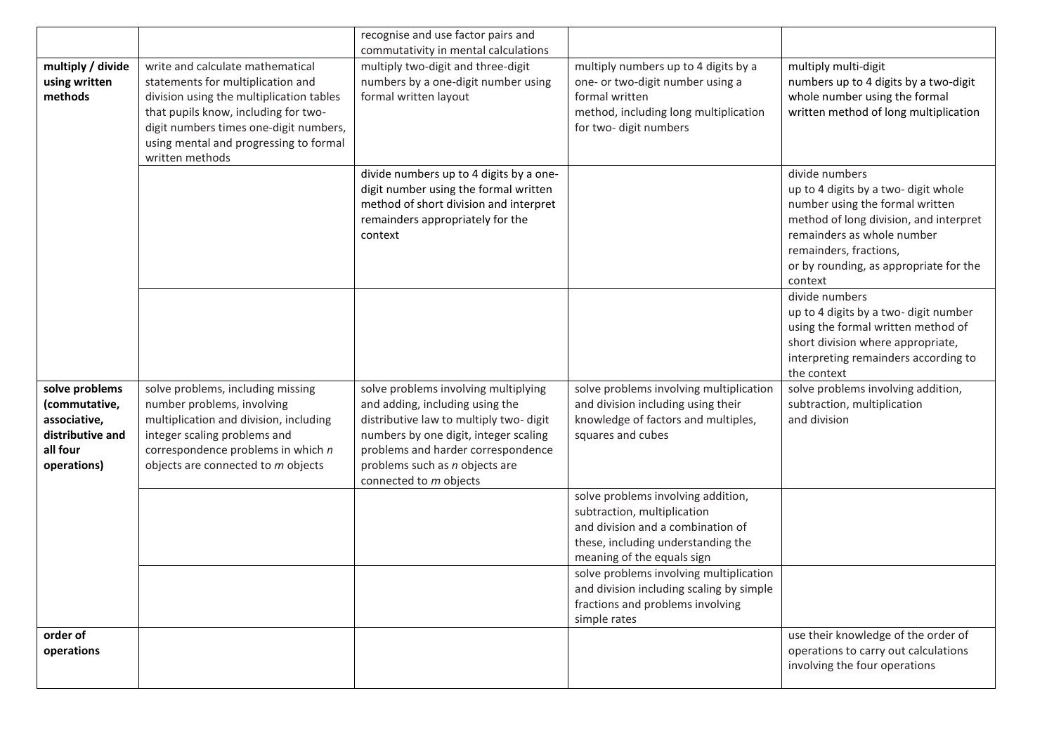|                                                                                                |                                                                                                                                                                                                                                                                  | recognise and use factor pairs and<br>commutativity in mental calculations                                                                                                                                                                                   |                                                                                                                                                                            |                                                                                                                                                                                                                                                  |
|------------------------------------------------------------------------------------------------|------------------------------------------------------------------------------------------------------------------------------------------------------------------------------------------------------------------------------------------------------------------|--------------------------------------------------------------------------------------------------------------------------------------------------------------------------------------------------------------------------------------------------------------|----------------------------------------------------------------------------------------------------------------------------------------------------------------------------|--------------------------------------------------------------------------------------------------------------------------------------------------------------------------------------------------------------------------------------------------|
| multiply / divide<br>using written<br>methods                                                  | write and calculate mathematical<br>statements for multiplication and<br>division using the multiplication tables<br>that pupils know, including for two-<br>digit numbers times one-digit numbers,<br>using mental and progressing to formal<br>written methods | multiply two-digit and three-digit<br>numbers by a one-digit number using<br>formal written layout                                                                                                                                                           | multiply numbers up to 4 digits by a<br>one- or two-digit number using a<br>formal written<br>method, including long multiplication<br>for two-digit numbers               | multiply multi-digit<br>numbers up to 4 digits by a two-digit<br>whole number using the formal<br>written method of long multiplication                                                                                                          |
|                                                                                                |                                                                                                                                                                                                                                                                  | divide numbers up to 4 digits by a one-<br>digit number using the formal written<br>method of short division and interpret<br>remainders appropriately for the<br>context                                                                                    |                                                                                                                                                                            | divide numbers<br>up to 4 digits by a two- digit whole<br>number using the formal written<br>method of long division, and interpret<br>remainders as whole number<br>remainders, fractions,<br>or by rounding, as appropriate for the<br>context |
|                                                                                                |                                                                                                                                                                                                                                                                  |                                                                                                                                                                                                                                                              |                                                                                                                                                                            | divide numbers<br>up to 4 digits by a two- digit number<br>using the formal written method of<br>short division where appropriate,<br>interpreting remainders according to<br>the context                                                        |
| solve problems<br>(commutative,<br>associative,<br>distributive and<br>all four<br>operations) | solve problems, including missing<br>number problems, involving<br>multiplication and division, including<br>integer scaling problems and<br>correspondence problems in which n<br>objects are connected to m objects                                            | solve problems involving multiplying<br>and adding, including using the<br>distributive law to multiply two-digit<br>numbers by one digit, integer scaling<br>problems and harder correspondence<br>problems such as n objects are<br>connected to m objects | solve problems involving multiplication<br>and division including using their<br>knowledge of factors and multiples,<br>squares and cubes                                  | solve problems involving addition,<br>subtraction, multiplication<br>and division                                                                                                                                                                |
|                                                                                                |                                                                                                                                                                                                                                                                  |                                                                                                                                                                                                                                                              | solve problems involving addition,<br>subtraction, multiplication<br>and division and a combination of<br>these, including understanding the<br>meaning of the equals sign |                                                                                                                                                                                                                                                  |
|                                                                                                |                                                                                                                                                                                                                                                                  |                                                                                                                                                                                                                                                              | solve problems involving multiplication<br>and division including scaling by simple<br>fractions and problems involving<br>simple rates                                    |                                                                                                                                                                                                                                                  |
| order of<br>operations                                                                         |                                                                                                                                                                                                                                                                  |                                                                                                                                                                                                                                                              |                                                                                                                                                                            | use their knowledge of the order of<br>operations to carry out calculations<br>involving the four operations                                                                                                                                     |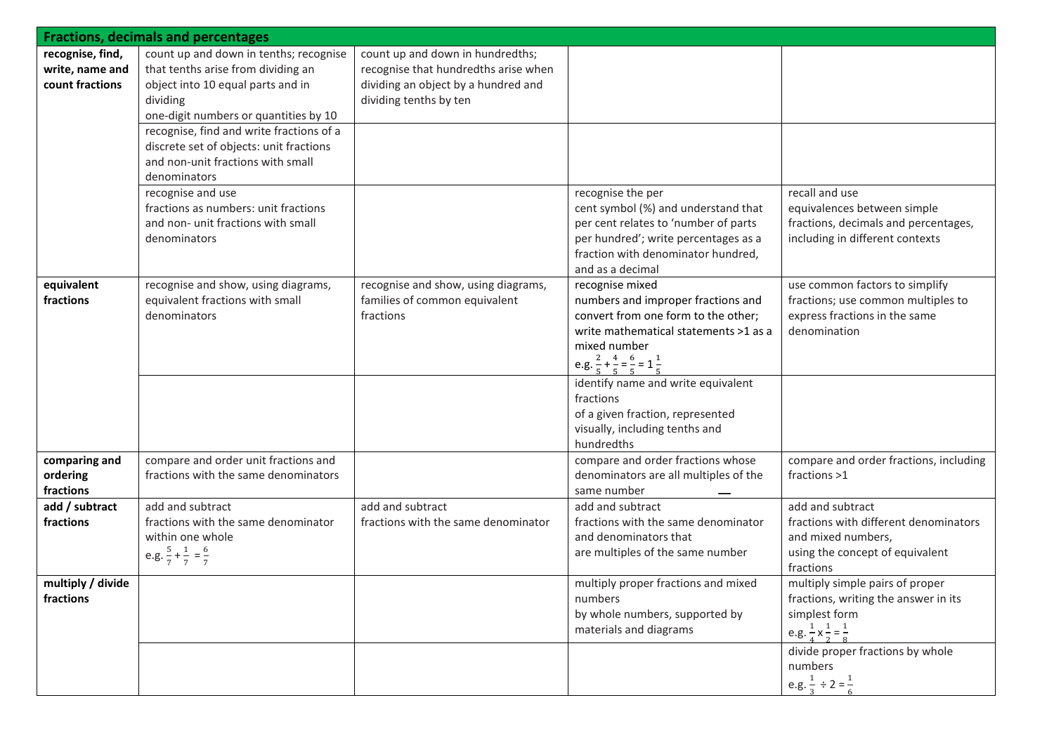|                                                          | <b>Fractions, decimals and percentages</b>                                                                                                                                                                                                                                                                                                                                                                                            |                                                                                                                                           |                                                                                                                                                                                                                                                                                                                                                                                   |                                                                                                                                                                                                                                          |
|----------------------------------------------------------|---------------------------------------------------------------------------------------------------------------------------------------------------------------------------------------------------------------------------------------------------------------------------------------------------------------------------------------------------------------------------------------------------------------------------------------|-------------------------------------------------------------------------------------------------------------------------------------------|-----------------------------------------------------------------------------------------------------------------------------------------------------------------------------------------------------------------------------------------------------------------------------------------------------------------------------------------------------------------------------------|------------------------------------------------------------------------------------------------------------------------------------------------------------------------------------------------------------------------------------------|
| recognise, find,<br>write, name and<br>count fractions   | count up and down in tenths; recognise<br>that tenths arise from dividing an<br>object into 10 equal parts and in<br>dividing<br>one-digit numbers or quantities by 10<br>recognise, find and write fractions of a<br>discrete set of objects: unit fractions<br>and non-unit fractions with small<br>denominators<br>recognise and use<br>fractions as numbers: unit fractions<br>and non- unit fractions with small<br>denominators | count up and down in hundredths;<br>recognise that hundredths arise when<br>dividing an object by a hundred and<br>dividing tenths by ten | recognise the per<br>cent symbol (%) and understand that<br>per cent relates to 'number of parts<br>per hundred'; write percentages as a<br>fraction with denominator hundred,                                                                                                                                                                                                    | recall and use<br>equivalences between simple<br>fractions, decimals and percentages,<br>including in different contexts                                                                                                                 |
| equivalent<br>fractions                                  | recognise and show, using diagrams,<br>equivalent fractions with small<br>denominators                                                                                                                                                                                                                                                                                                                                                | recognise and show, using diagrams,<br>families of common equivalent<br>fractions                                                         | and as a decimal<br>recognise mixed<br>numbers and improper fractions and<br>convert from one form to the other;<br>write mathematical statements >1 as a<br>mixed number<br>e.g. $\frac{2}{5} + \frac{4}{5} = \frac{6}{5} = 1\frac{1}{5}$<br>identify name and write equivalent<br>fractions<br>of a given fraction, represented<br>visually, including tenths and<br>hundredths | use common factors to simplify<br>fractions; use common multiples to<br>express fractions in the same<br>denomination                                                                                                                    |
| comparing and<br>ordering<br>fractions<br>add / subtract | compare and order unit fractions and<br>fractions with the same denominators<br>add and subtract                                                                                                                                                                                                                                                                                                                                      | add and subtract                                                                                                                          | compare and order fractions whose<br>denominators are all multiples of the<br>same number<br>add and subtract                                                                                                                                                                                                                                                                     | compare and order fractions, including<br>fractions >1<br>add and subtract                                                                                                                                                               |
| fractions                                                | fractions with the same denominator<br>within one whole<br>e.g. $\frac{5}{7} + \frac{1}{7} = \frac{6}{7}$                                                                                                                                                                                                                                                                                                                             | fractions with the same denominator                                                                                                       | fractions with the same denominator<br>and denominators that<br>are multiples of the same number                                                                                                                                                                                                                                                                                  | fractions with different denominators<br>and mixed numbers,<br>using the concept of equivalent<br>fractions                                                                                                                              |
| multiply / divide<br>fractions                           |                                                                                                                                                                                                                                                                                                                                                                                                                                       |                                                                                                                                           | multiply proper fractions and mixed<br>numbers<br>by whole numbers, supported by<br>materials and diagrams                                                                                                                                                                                                                                                                        | multiply simple pairs of proper<br>fractions, writing the answer in its<br>simplest form<br>e.g. $\frac{1}{4}$ x $\frac{1}{2}$ = $\frac{1}{8}$<br>divide proper fractions by whole<br>numbers<br>e.g. $\frac{1}{2} \div 2 = \frac{1}{6}$ |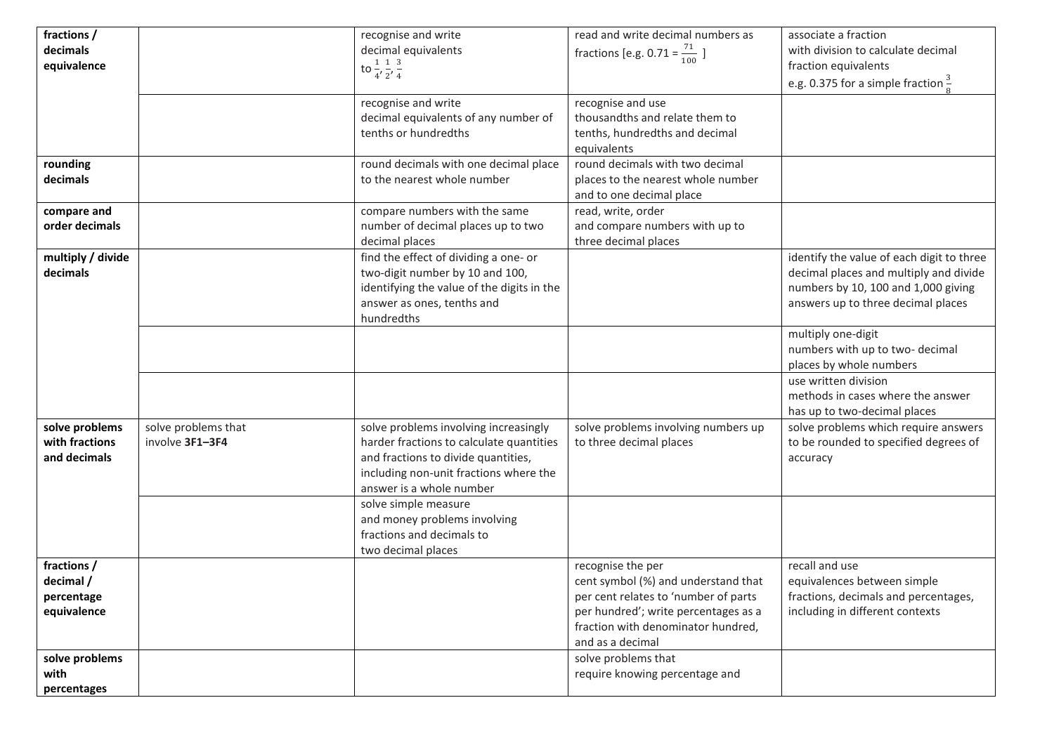| fractions /       |                     | recognise and write                                       | read and write decimal numbers as                              | associate a fraction                                       |
|-------------------|---------------------|-----------------------------------------------------------|----------------------------------------------------------------|------------------------------------------------------------|
| decimals          |                     | decimal equivalents                                       | fractions [e.g. 0.71 = $\frac{71}{100}$ ]                      | with division to calculate decimal                         |
| equivalence       |                     | to $\frac{1}{4}$ , $\frac{1}{2}$ , $\frac{3}{4}$          |                                                                | fraction equivalents                                       |
|                   |                     |                                                           |                                                                | e.g. 0.375 for a simple fraction $\frac{3}{6}$             |
|                   |                     | recognise and write                                       | recognise and use                                              |                                                            |
|                   |                     | decimal equivalents of any number of                      | thousandths and relate them to                                 |                                                            |
|                   |                     | tenths or hundredths                                      | tenths, hundredths and decimal                                 |                                                            |
|                   |                     |                                                           | equivalents                                                    |                                                            |
| rounding          |                     | round decimals with one decimal place                     | round decimals with two decimal                                |                                                            |
| decimals          |                     | to the nearest whole number                               | places to the nearest whole number<br>and to one decimal place |                                                            |
| compare and       |                     | compare numbers with the same                             | read, write, order                                             |                                                            |
| order decimals    |                     | number of decimal places up to two                        | and compare numbers with up to                                 |                                                            |
|                   |                     | decimal places                                            | three decimal places                                           |                                                            |
| multiply / divide |                     | find the effect of dividing a one- or                     |                                                                | identify the value of each digit to three                  |
| decimals          |                     | two-digit number by 10 and 100,                           |                                                                | decimal places and multiply and divide                     |
|                   |                     | identifying the value of the digits in the                |                                                                | numbers by 10, 100 and 1,000 giving                        |
|                   |                     | answer as ones, tenths and                                |                                                                | answers up to three decimal places                         |
|                   |                     | hundredths                                                |                                                                |                                                            |
|                   |                     |                                                           |                                                                | multiply one-digit                                         |
|                   |                     |                                                           |                                                                | numbers with up to two- decimal<br>places by whole numbers |
|                   |                     |                                                           |                                                                | use written division                                       |
|                   |                     |                                                           |                                                                | methods in cases where the answer                          |
|                   |                     |                                                           |                                                                | has up to two-decimal places                               |
| solve problems    | solve problems that | solve problems involving increasingly                     | solve problems involving numbers up                            | solve problems which require answers                       |
| with fractions    | involve 3F1-3F4     | harder fractions to calculate quantities                  | to three decimal places                                        | to be rounded to specified degrees of                      |
| and decimals      |                     | and fractions to divide quantities,                       |                                                                | accuracy                                                   |
|                   |                     | including non-unit fractions where the                    |                                                                |                                                            |
|                   |                     | answer is a whole number                                  |                                                                |                                                            |
|                   |                     | solve simple measure                                      |                                                                |                                                            |
|                   |                     | and money problems involving<br>fractions and decimals to |                                                                |                                                            |
|                   |                     | two decimal places                                        |                                                                |                                                            |
| fractions /       |                     |                                                           | recognise the per                                              | recall and use                                             |
| decimal /         |                     |                                                           | cent symbol (%) and understand that                            | equivalences between simple                                |
| percentage        |                     |                                                           | per cent relates to 'number of parts                           | fractions, decimals and percentages,                       |
| equivalence       |                     |                                                           | per hundred'; write percentages as a                           | including in different contexts                            |
|                   |                     |                                                           | fraction with denominator hundred,                             |                                                            |
|                   |                     |                                                           | and as a decimal                                               |                                                            |
| solve problems    |                     |                                                           | solve problems that                                            |                                                            |
| with              |                     |                                                           | require knowing percentage and                                 |                                                            |
| percentages       |                     |                                                           |                                                                |                                                            |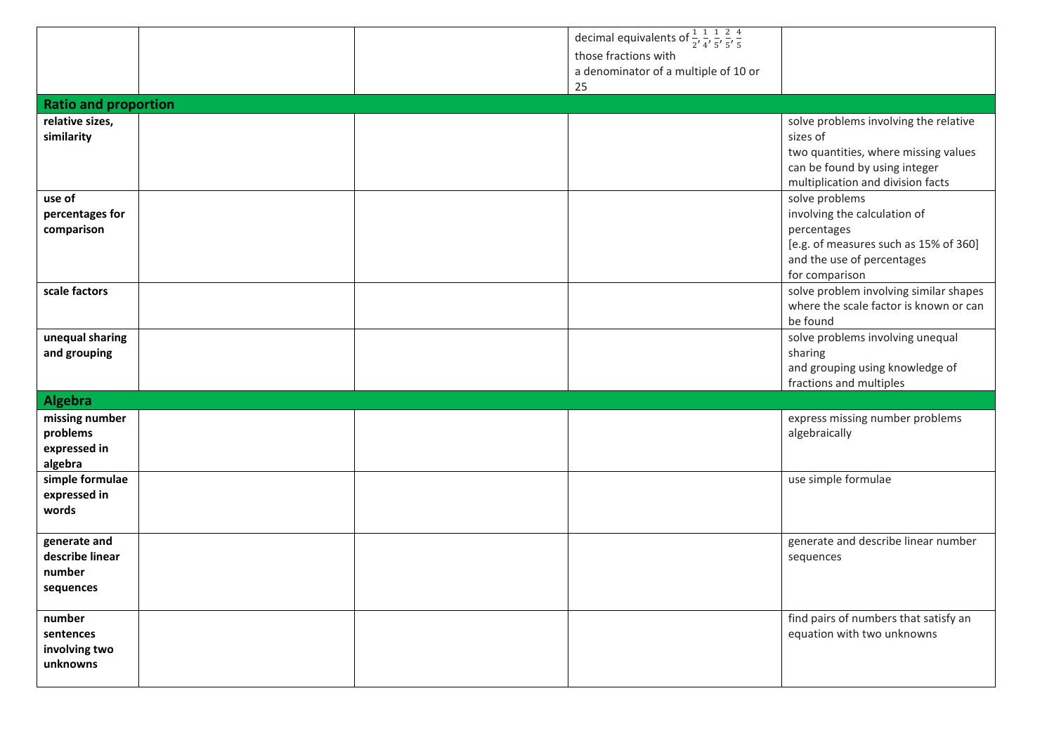|                             |  | decimal equivalents of $\frac{1}{2}$ , $\frac{1}{4}$ , $\frac{1}{5}$ , $\frac{2}{5}$ , $\frac{4}{5}$ |                                        |
|-----------------------------|--|------------------------------------------------------------------------------------------------------|----------------------------------------|
|                             |  | those fractions with                                                                                 |                                        |
|                             |  | a denominator of a multiple of 10 or                                                                 |                                        |
|                             |  | 25                                                                                                   |                                        |
|                             |  |                                                                                                      |                                        |
| <b>Ratio and proportion</b> |  |                                                                                                      |                                        |
| relative sizes,             |  |                                                                                                      | solve problems involving the relative  |
| similarity                  |  |                                                                                                      | sizes of                               |
|                             |  |                                                                                                      | two quantities, where missing values   |
|                             |  |                                                                                                      | can be found by using integer          |
|                             |  |                                                                                                      | multiplication and division facts      |
| use of                      |  |                                                                                                      | solve problems                         |
| percentages for             |  |                                                                                                      | involving the calculation of           |
| comparison                  |  |                                                                                                      | percentages                            |
|                             |  |                                                                                                      | [e.g. of measures such as 15% of 360]  |
|                             |  |                                                                                                      | and the use of percentages             |
|                             |  |                                                                                                      | for comparison                         |
| scale factors               |  |                                                                                                      | solve problem involving similar shapes |
|                             |  |                                                                                                      | where the scale factor is known or can |
|                             |  |                                                                                                      | be found                               |
| unequal sharing             |  |                                                                                                      | solve problems involving unequal       |
| and grouping                |  |                                                                                                      | sharing                                |
|                             |  |                                                                                                      | and grouping using knowledge of        |
|                             |  |                                                                                                      | fractions and multiples                |
| <b>Algebra</b>              |  |                                                                                                      |                                        |
| missing number              |  |                                                                                                      | express missing number problems        |
| problems                    |  |                                                                                                      | algebraically                          |
| expressed in                |  |                                                                                                      |                                        |
| algebra                     |  |                                                                                                      |                                        |
| simple formulae             |  |                                                                                                      | use simple formulae                    |
| expressed in                |  |                                                                                                      |                                        |
| words                       |  |                                                                                                      |                                        |
|                             |  |                                                                                                      |                                        |
| generate and                |  |                                                                                                      | generate and describe linear number    |
| describe linear             |  |                                                                                                      | sequences                              |
| number                      |  |                                                                                                      |                                        |
| sequences                   |  |                                                                                                      |                                        |
|                             |  |                                                                                                      |                                        |
| number                      |  |                                                                                                      | find pairs of numbers that satisfy an  |
| sentences                   |  |                                                                                                      | equation with two unknowns             |
| involving two               |  |                                                                                                      |                                        |
| unknowns                    |  |                                                                                                      |                                        |
|                             |  |                                                                                                      |                                        |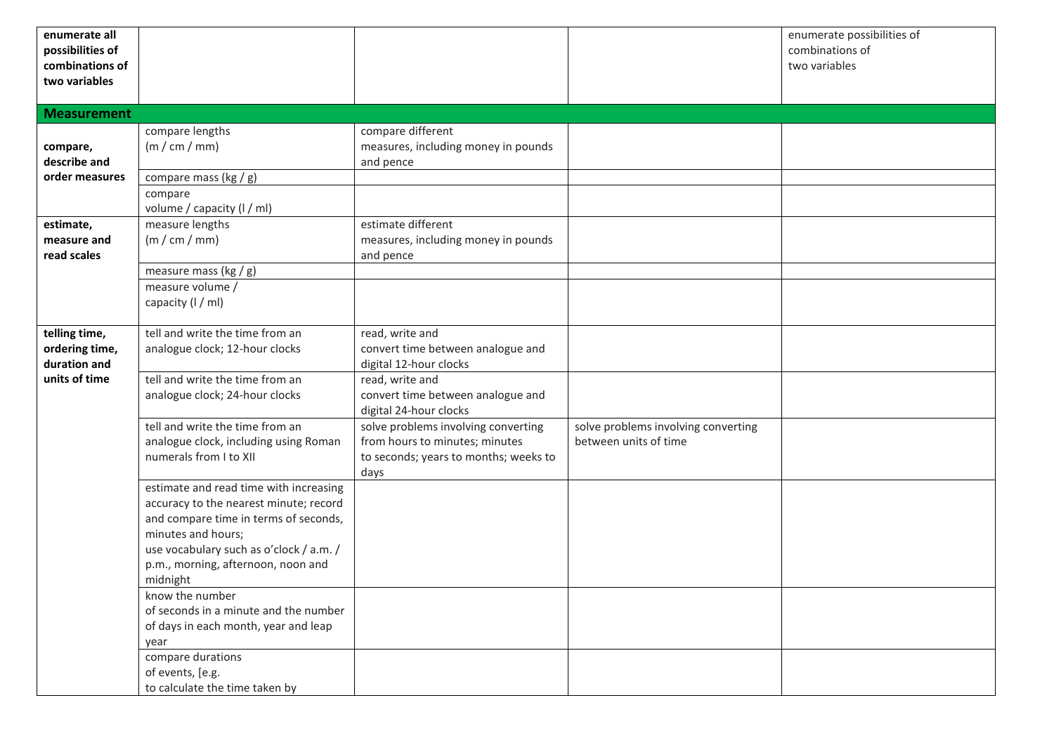| enumerate all<br>possibilities of |                                                                               |                                                  |                                     | enumerate possibilities of<br>combinations of |
|-----------------------------------|-------------------------------------------------------------------------------|--------------------------------------------------|-------------------------------------|-----------------------------------------------|
| combinations of                   |                                                                               |                                                  |                                     | two variables                                 |
| two variables                     |                                                                               |                                                  |                                     |                                               |
|                                   |                                                                               |                                                  |                                     |                                               |
| <b>Measurement</b>                |                                                                               |                                                  |                                     |                                               |
|                                   | compare lengths                                                               | compare different                                |                                     |                                               |
| compare,<br>describe and          | (m / cm / mm)                                                                 | measures, including money in pounds<br>and pence |                                     |                                               |
| order measures                    | compare mass (kg / g)                                                         |                                                  |                                     |                                               |
|                                   | compare                                                                       |                                                  |                                     |                                               |
|                                   | volume / capacity (I / ml)                                                    |                                                  |                                     |                                               |
| estimate,                         | measure lengths                                                               | estimate different                               |                                     |                                               |
| measure and                       | (m / cm / mm)                                                                 | measures, including money in pounds              |                                     |                                               |
| read scales                       |                                                                               | and pence                                        |                                     |                                               |
|                                   | measure mass ( $kg/g$ )<br>measure volume /                                   |                                                  |                                     |                                               |
|                                   | capacity (I / ml)                                                             |                                                  |                                     |                                               |
|                                   |                                                                               |                                                  |                                     |                                               |
| telling time,                     | tell and write the time from an                                               | read, write and                                  |                                     |                                               |
| ordering time,                    | analogue clock; 12-hour clocks                                                | convert time between analogue and                |                                     |                                               |
| duration and<br>units of time     | tell and write the time from an                                               | digital 12-hour clocks<br>read, write and        |                                     |                                               |
|                                   | analogue clock; 24-hour clocks                                                | convert time between analogue and                |                                     |                                               |
|                                   |                                                                               | digital 24-hour clocks                           |                                     |                                               |
|                                   | tell and write the time from an                                               | solve problems involving converting              | solve problems involving converting |                                               |
|                                   | analogue clock, including using Roman                                         | from hours to minutes; minutes                   | between units of time               |                                               |
|                                   | numerals from I to XII                                                        | to seconds; years to months; weeks to            |                                     |                                               |
|                                   | estimate and read time with increasing                                        | days                                             |                                     |                                               |
|                                   | accuracy to the nearest minute; record                                        |                                                  |                                     |                                               |
|                                   | and compare time in terms of seconds,                                         |                                                  |                                     |                                               |
|                                   | minutes and hours;                                                            |                                                  |                                     |                                               |
|                                   | use vocabulary such as o'clock / a.m. /<br>p.m., morning, afternoon, noon and |                                                  |                                     |                                               |
|                                   | midnight                                                                      |                                                  |                                     |                                               |
|                                   | know the number                                                               |                                                  |                                     |                                               |
|                                   | of seconds in a minute and the number                                         |                                                  |                                     |                                               |
|                                   | of days in each month, year and leap                                          |                                                  |                                     |                                               |
|                                   | year                                                                          |                                                  |                                     |                                               |
|                                   | compare durations<br>of events, [e.g.                                         |                                                  |                                     |                                               |
|                                   | to calculate the time taken by                                                |                                                  |                                     |                                               |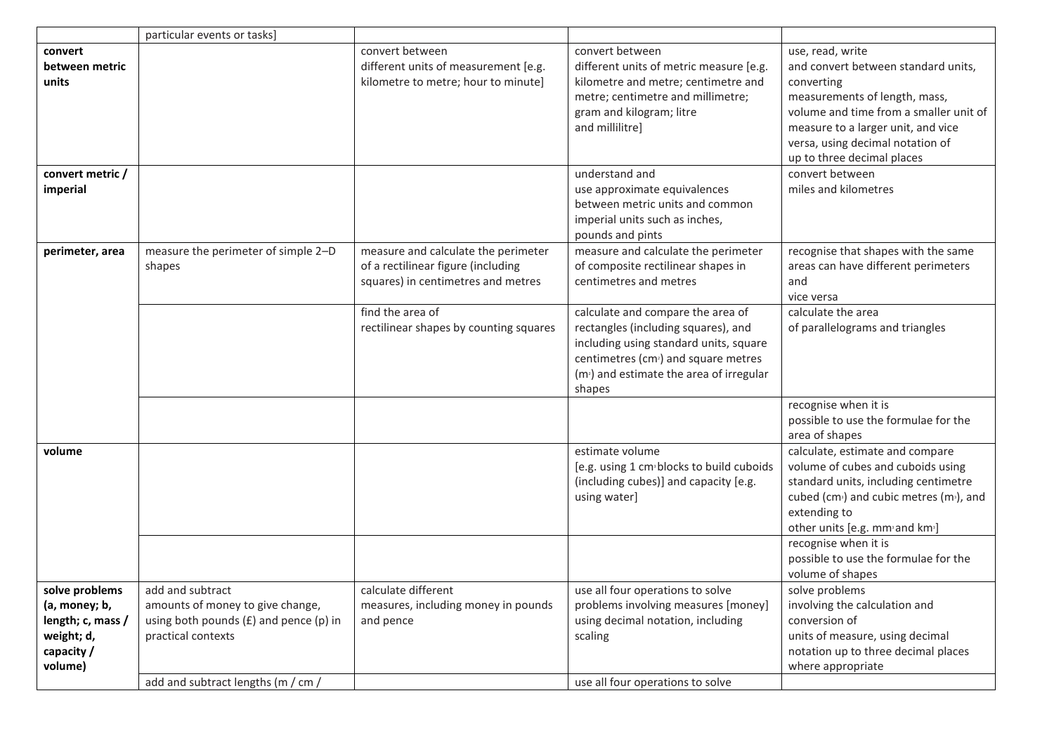|                                                                                             | particular events or tasks]                                                                                                                                    |                                                                                                                 |                                                                                                                                                                                                                                          |                                                                                                                                                                                                                                                             |
|---------------------------------------------------------------------------------------------|----------------------------------------------------------------------------------------------------------------------------------------------------------------|-----------------------------------------------------------------------------------------------------------------|------------------------------------------------------------------------------------------------------------------------------------------------------------------------------------------------------------------------------------------|-------------------------------------------------------------------------------------------------------------------------------------------------------------------------------------------------------------------------------------------------------------|
| convert<br>between metric<br>units                                                          |                                                                                                                                                                | convert between<br>different units of measurement [e.g.<br>kilometre to metre; hour to minute]                  | convert between<br>different units of metric measure [e.g.<br>kilometre and metre; centimetre and<br>metre; centimetre and millimetre;<br>gram and kilogram; litre<br>and millilitre]                                                    | use, read, write<br>and convert between standard units,<br>converting<br>measurements of length, mass,<br>volume and time from a smaller unit of<br>measure to a larger unit, and vice<br>versa, using decimal notation of<br>up to three decimal places    |
| convert metric /<br>imperial                                                                |                                                                                                                                                                |                                                                                                                 | understand and<br>use approximate equivalences<br>between metric units and common<br>imperial units such as inches,<br>pounds and pints                                                                                                  | convert between<br>miles and kilometres                                                                                                                                                                                                                     |
| perimeter, area                                                                             | measure the perimeter of simple 2-D<br>shapes                                                                                                                  | measure and calculate the perimeter<br>of a rectilinear figure (including<br>squares) in centimetres and metres | measure and calculate the perimeter<br>of composite rectilinear shapes in<br>centimetres and metres                                                                                                                                      | recognise that shapes with the same<br>areas can have different perimeters<br>and<br>vice versa                                                                                                                                                             |
|                                                                                             |                                                                                                                                                                | find the area of<br>rectilinear shapes by counting squares                                                      | calculate and compare the area of<br>rectangles (including squares), and<br>including using standard units, square<br>centimetres (cm <sup>2</sup> ) and square metres<br>(m <sup>2</sup> ) and estimate the area of irregular<br>shapes | calculate the area<br>of parallelograms and triangles                                                                                                                                                                                                       |
|                                                                                             |                                                                                                                                                                |                                                                                                                 |                                                                                                                                                                                                                                          | recognise when it is<br>possible to use the formulae for the<br>area of shapes                                                                                                                                                                              |
| volume                                                                                      |                                                                                                                                                                |                                                                                                                 | estimate volume<br>[e.g. using 1 cm <sup>,</sup> blocks to build cuboids<br>(including cubes)] and capacity [e.g.<br>using water]                                                                                                        | calculate, estimate and compare<br>volume of cubes and cuboids using<br>standard units, including centimetre<br>cubed (cm <sup>3</sup> ) and cubic metres (m <sup>3</sup> ), and<br>extending to<br>other units [e.g. mm <sup>3</sup> and km <sup>3</sup> ] |
|                                                                                             |                                                                                                                                                                |                                                                                                                 |                                                                                                                                                                                                                                          | recognise when it is<br>possible to use the formulae for the<br>volume of shapes                                                                                                                                                                            |
| solve problems<br>(a, money; b,<br>length; c, mass /<br>weight; d,<br>capacity /<br>volume) | add and subtract<br>amounts of money to give change,<br>using both pounds $(E)$ and pence $(p)$ in<br>practical contexts<br>add and subtract lengths (m / cm / | calculate different<br>measures, including money in pounds<br>and pence                                         | use all four operations to solve<br>problems involving measures [money]<br>using decimal notation, including<br>scaling<br>use all four operations to solve                                                                              | solve problems<br>involving the calculation and<br>conversion of<br>units of measure, using decimal<br>notation up to three decimal places<br>where appropriate                                                                                             |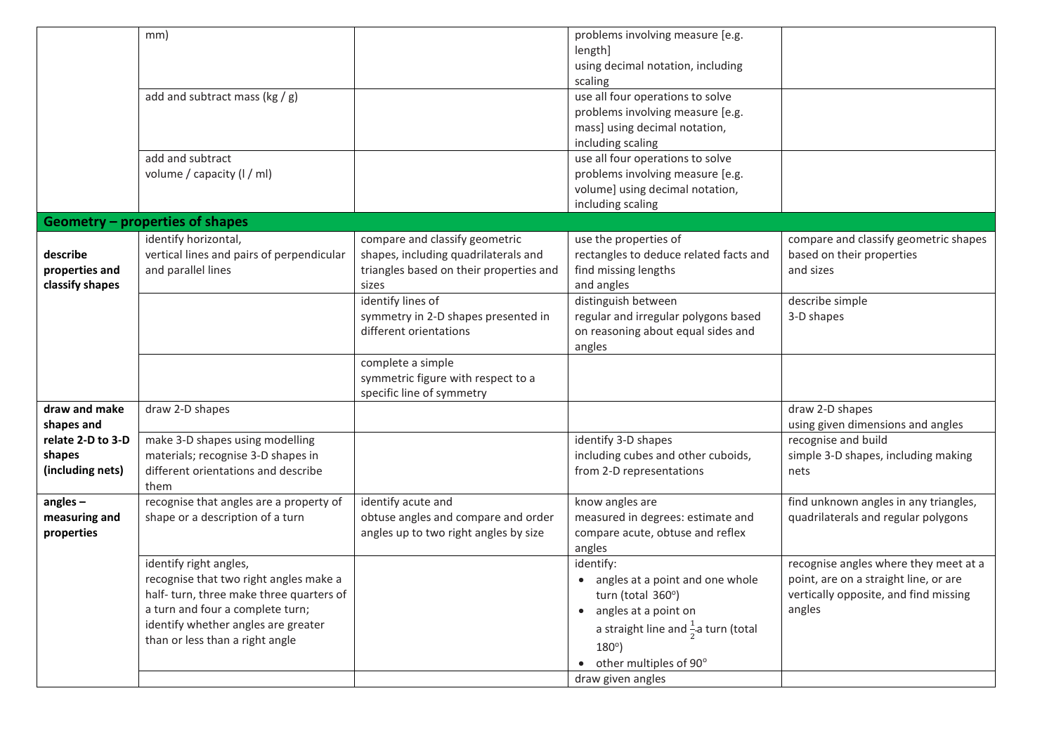|                   | mm)                                             |                                         | problems involving measure [e.g.<br>length]     |                                       |
|-------------------|-------------------------------------------------|-----------------------------------------|-------------------------------------------------|---------------------------------------|
|                   |                                                 |                                         | using decimal notation, including               |                                       |
|                   |                                                 |                                         | scaling                                         |                                       |
|                   | add and subtract mass ( $kg/g$ )                |                                         | use all four operations to solve                |                                       |
|                   |                                                 |                                         | problems involving measure [e.g.                |                                       |
|                   |                                                 |                                         | mass] using decimal notation,                   |                                       |
|                   |                                                 |                                         | including scaling                               |                                       |
|                   | add and subtract                                |                                         | use all four operations to solve                |                                       |
|                   | volume / capacity (I / ml)                      |                                         | problems involving measure [e.g.                |                                       |
|                   |                                                 |                                         | volume] using decimal notation,                 |                                       |
|                   |                                                 |                                         | including scaling                               |                                       |
|                   | Geometry - properties of shapes                 |                                         |                                                 |                                       |
|                   | identify horizontal,                            | compare and classify geometric          | use the properties of                           | compare and classify geometric shapes |
| describe          | vertical lines and pairs of perpendicular       | shapes, including quadrilaterals and    | rectangles to deduce related facts and          | based on their properties             |
| properties and    | and parallel lines                              | triangles based on their properties and | find missing lengths                            | and sizes                             |
| classify shapes   |                                                 | sizes<br>identify lines of              | and angles<br>distinguish between               | describe simple                       |
|                   |                                                 | symmetry in 2-D shapes presented in     | regular and irregular polygons based            | 3-D shapes                            |
|                   |                                                 | different orientations                  | on reasoning about equal sides and              |                                       |
|                   |                                                 |                                         | angles                                          |                                       |
|                   |                                                 | complete a simple                       |                                                 |                                       |
|                   |                                                 | symmetric figure with respect to a      |                                                 |                                       |
|                   |                                                 | specific line of symmetry               |                                                 |                                       |
| draw and make     | draw 2-D shapes                                 |                                         |                                                 | draw 2-D shapes                       |
| shapes and        |                                                 |                                         |                                                 | using given dimensions and angles     |
| relate 2-D to 3-D | make 3-D shapes using modelling                 |                                         | identify 3-D shapes                             | recognise and build                   |
| shapes            | materials; recognise 3-D shapes in              |                                         | including cubes and other cuboids,              | simple 3-D shapes, including making   |
| (including nets)  | different orientations and describe             |                                         | from 2-D representations                        | nets                                  |
| angles $-$        | them<br>recognise that angles are a property of | identify acute and                      | know angles are                                 | find unknown angles in any triangles, |
| measuring and     | shape or a description of a turn                | obtuse angles and compare and order     | measured in degrees: estimate and               | quadrilaterals and regular polygons   |
| properties        |                                                 | angles up to two right angles by size   | compare acute, obtuse and reflex                |                                       |
|                   |                                                 |                                         | angles                                          |                                       |
|                   | identify right angles,                          |                                         | identify:                                       | recognise angles where they meet at a |
|                   | recognise that two right angles make a          |                                         | • angles at a point and one whole               | point, are on a straight line, or are |
|                   | half-turn, three make three quarters of         |                                         | turn (total 360°)                               | vertically opposite, and find missing |
|                   | a turn and four a complete turn;                |                                         | • angles at a point on                          | angles                                |
|                   | identify whether angles are greater             |                                         | a straight line and $\frac{1}{2}$ a turn (total |                                       |
|                   | than or less than a right angle                 |                                         | $180^\circ$ )                                   |                                       |
|                   |                                                 |                                         | • other multiples of 90°                        |                                       |
|                   |                                                 |                                         | draw given angles                               |                                       |